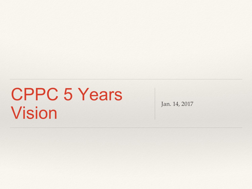#### CPPC 5 Years Vision Jan. 14, 2017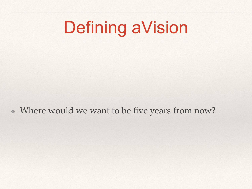### Defining aVision

❖ Where would we want to be five years from now?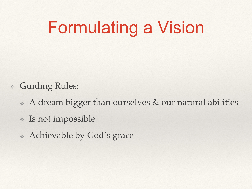# Formulating a Vision

- ❖ Guiding Rules:
	- ❖ A dream bigger than ourselves & our natural abilities
	- ❖ Is not impossible
	- ❖ Achievable by God's grace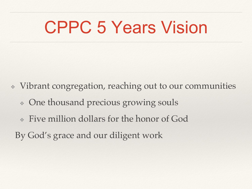### CPPC 5 Years Vision

- ❖ Vibrant congregation, reaching out to our communities
	- ❖ One thousand precious growing souls
	- ❖ Five million dollars for the honor of God
	- By God's grace and our diligent work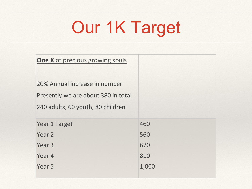# Our 1K Target

| <b>One K</b> of precious growing souls                                                                    |       |
|-----------------------------------------------------------------------------------------------------------|-------|
| 20% Annual increase in number<br>Presently we are about 380 in total<br>240 adults, 60 youth, 80 children |       |
| <b>Year 1 Target</b>                                                                                      | 460   |
| Year 2                                                                                                    | 560   |
| Year <sub>3</sub>                                                                                         | 670   |
| Year 4                                                                                                    | 810   |
| Year <sub>5</sub>                                                                                         | 1,000 |
|                                                                                                           |       |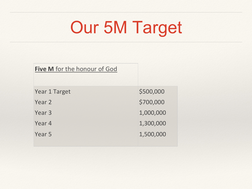# Our 5M Target

| Five M for the honour of God |           |
|------------------------------|-----------|
| <b>Year 1 Target</b>         | \$500,000 |
| Year 2                       | \$700,000 |
| Year <sub>3</sub>            | 1,000,000 |
| Year 4                       | 1,300,000 |
| Year 5                       | 1,500,000 |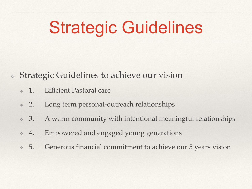## Strategic Guidelines

- ❖ Strategic Guidelines to achieve our vision
	- ❖ 1. Efficient Pastoral care
	- ❖ 2. Long term personal-outreach relationships
	- ❖ 3. A warm community with intentional meaningful relationships
	- ❖ 4. Empowered and engaged young generations
	- ❖ 5. Generous financial commitment to achieve our 5 years vision